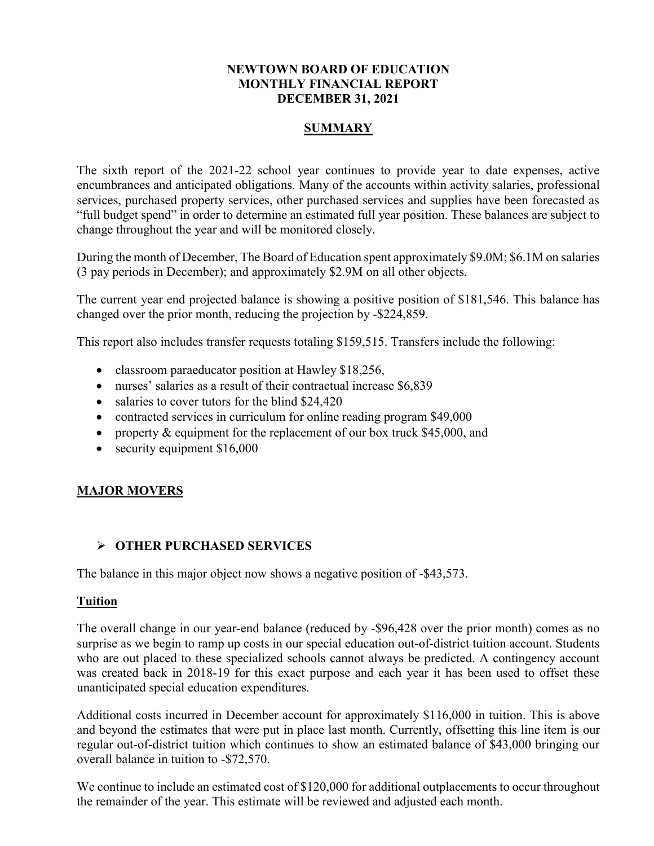# **NEWTOWN BOARD OF EDUCATION MONTHLY FINANCIAL REPORT DECEMBER 31, 2021**

# **SUMMARY**

The sixth report of the 2021-22 school year continues to provide year to date expenses, active encumbrances and anticipated obligations. Many of the accounts within activity salaries, professional services, purchased property services, other purchased services and supplies have been forecasted as "full budget spend" in order to determine an estimated full year position. These balances are subject to change throughout the year and will be monitored closely.

During the month of December, The Board of Education spent approximately \$9.0M; \$6.1M on salaries (3 pay periods in December); and approximately \$2.9M on all other objects.

The current year end projected balance is showing a positive position of \$181,546. This balance has changed over the prior month, reducing the projection by -\$224,859.

This report also includes transfer requests totaling \$159,515. Transfers include the following:

- classroom paraeducator position at Hawley \$18,256,
- nurses' salaries as a result of their contractual increase \$6,839
- salaries to cover tutors for the blind \$24,420
- contracted services in curriculum for online reading program \$49,000
- property & equipment for the replacement of our box truck \$45,000, and
- security equipment \$16,000

# **MAJOR MOVERS**

# ➢ **OTHER PURCHASED SERVICES**

The balance in this major object now shows a negative position of -\$43,573.

### **Tuition**

The overall change in our year-end balance (reduced by -\$96,428 over the prior month) comes as no surprise as we begin to ramp up costs in our special education out-of-district tuition account. Students who are out placed to these specialized schools cannot always be predicted. A contingency account was created back in 2018-19 for this exact purpose and each year it has been used to offset these unanticipated special education expenditures.

Additional costs incurred in December account for approximately \$116,000 in tuition. This is above and beyond the estimates that were put in place last month. Currently, offsetting this line item is our regular out-of-district tuition which continues to show an estimated balance of \$43,000 bringing our overall balance in tuition to -\$72,570.

We continue to include an estimated cost of \$120,000 for additional outplacements to occur throughout the remainder of the year. This estimate will be reviewed and adjusted each month.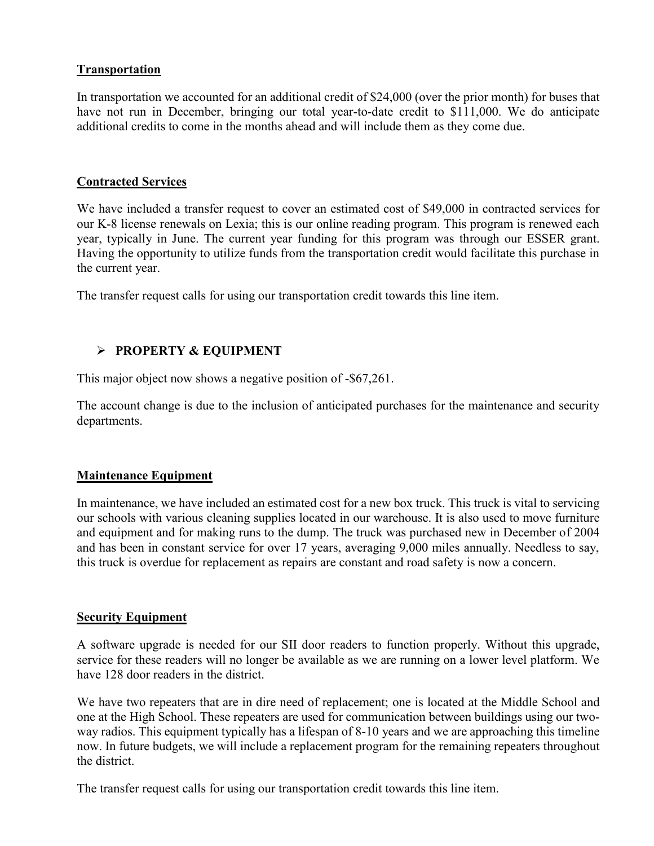# **Transportation**

In transportation we accounted for an additional credit of \$24,000 (over the prior month) for buses that have not run in December, bringing our total year-to-date credit to \$111,000. We do anticipate additional credits to come in the months ahead and will include them as they come due.

### **Contracted Services**

We have included a transfer request to cover an estimated cost of \$49,000 in contracted services for our K-8 license renewals on Lexia; this is our online reading program. This program is renewed each year, typically in June. The current year funding for this program was through our ESSER grant. Having the opportunity to utilize funds from the transportation credit would facilitate this purchase in the current year.

The transfer request calls for using our transportation credit towards this line item.

### ➢ **PROPERTY & EQUIPMENT**

This major object now shows a negative position of -\$67,261.

The account change is due to the inclusion of anticipated purchases for the maintenance and security departments.

### **Maintenance Equipment**

In maintenance, we have included an estimated cost for a new box truck. This truck is vital to servicing our schools with various cleaning supplies located in our warehouse. It is also used to move furniture and equipment and for making runs to the dump. The truck was purchased new in December of 2004 and has been in constant service for over 17 years, averaging 9,000 miles annually. Needless to say, this truck is overdue for replacement as repairs are constant and road safety is now a concern.

### **Security Equipment**

A software upgrade is needed for our SII door readers to function properly. Without this upgrade, service for these readers will no longer be available as we are running on a lower level platform. We have 128 door readers in the district.

We have two repeaters that are in dire need of replacement; one is located at the Middle School and one at the High School. These repeaters are used for communication between buildings using our twoway radios. This equipment typically has a lifespan of 8-10 years and we are approaching this timeline now. In future budgets, we will include a replacement program for the remaining repeaters throughout the district.

The transfer request calls for using our transportation credit towards this line item.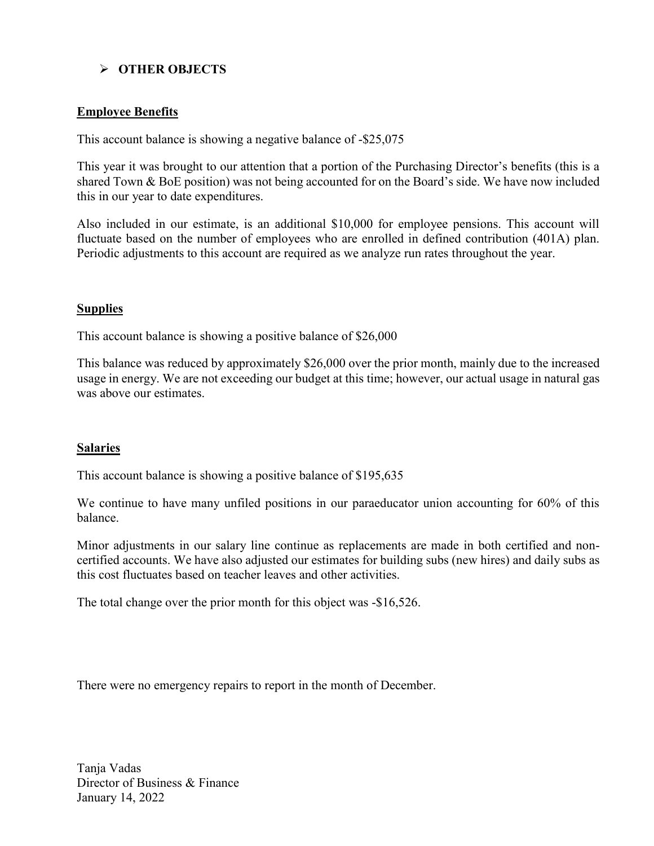# ➢ **OTHER OBJECTS**

### **Employee Benefits**

This account balance is showing a negative balance of -\$25,075

This year it was brought to our attention that a portion of the Purchasing Director's benefits (this is a shared Town & BoE position) was not being accounted for on the Board's side. We have now included this in our year to date expenditures.

Also included in our estimate, is an additional \$10,000 for employee pensions. This account will fluctuate based on the number of employees who are enrolled in defined contribution (401A) plan. Periodic adjustments to this account are required as we analyze run rates throughout the year.

### **Supplies**

This account balance is showing a positive balance of \$26,000

This balance was reduced by approximately \$26,000 over the prior month, mainly due to the increased usage in energy. We are not exceeding our budget at this time; however, our actual usage in natural gas was above our estimates.

### **Salaries**

This account balance is showing a positive balance of \$195,635

We continue to have many unfiled positions in our paraeducator union accounting for 60% of this balance.

Minor adjustments in our salary line continue as replacements are made in both certified and noncertified accounts. We have also adjusted our estimates for building subs (new hires) and daily subs as this cost fluctuates based on teacher leaves and other activities.

The total change over the prior month for this object was -\$16,526.

There were no emergency repairs to report in the month of December.

Tanja Vadas Director of Business & Finance January 14, 2022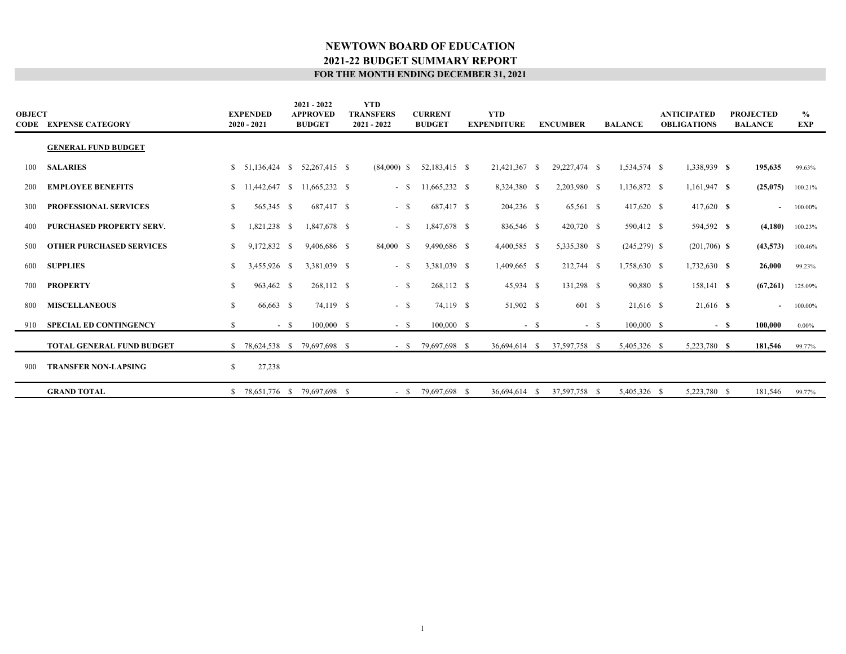| <b>OBJECT</b> | <b>CODE EXPENSE CATEGORY</b>     |    | <b>EXPENDED</b><br>$2020 - 2021$ |        | $2021 - 2022$<br><b>APPROVED</b><br><b>BUDGET</b> | <b>YTD</b><br><b>TRANSFERS</b><br>$2021 - 2022$ | <b>CURRENT</b><br><b>BUDGET</b> | <b>YTD</b><br><b>EXPENDITURE</b> |        | <b>ENCUMBER</b> | <b>BALANCE</b> | <b>ANTICIPATED</b><br><b>OBLIGATIONS</b> |      | <b>PROJECTED</b><br><b>BALANCE</b> | $\frac{0}{0}$<br><b>EXP</b> |
|---------------|----------------------------------|----|----------------------------------|--------|---------------------------------------------------|-------------------------------------------------|---------------------------------|----------------------------------|--------|-----------------|----------------|------------------------------------------|------|------------------------------------|-----------------------------|
|               | <b>GENERAL FUND BUDGET</b>       |    |                                  |        |                                                   |                                                 |                                 |                                  |        |                 |                |                                          |      |                                    |                             |
| 100           | <b>SALARIES</b>                  |    | $$51,136,424$ \ \$               |        | 52,267,415 \$                                     | $(84,000)$ \$                                   | 52,183,415 \$                   | 21,421,367 \$                    |        | 29, 227, 474 \$ | 1,534,574 \$   | 1,338,939 \$                             |      | 195,635                            | 99.63%                      |
| 200           | <b>EMPLOYEE BENEFITS</b>         |    | $$11,442,647$ \, S               |        | 11,665,232 \$                                     | $-$ \$                                          | 11,665,232 \$                   | 8,324,380 \$                     |        | 2,203,980 \$    | 1,136,872 \$   | $1,161,947$ \$                           |      | (25,075)                           | 100.21%                     |
| 300           | <b>PROFESSIONAL SERVICES</b>     | S. | 565,345 \$                       |        | 687,417 \$                                        | $-$ \$                                          | 687,417 \$                      | 204,236 \$                       |        | 65,561 \$       | 417,620 \$     | 417,620 \$                               |      | $\blacksquare$                     | 100.00%                     |
| 400           | <b>PURCHASED PROPERTY SERV.</b>  | \$ | 1,821,238 \$                     |        | 1,847,678 \$                                      | $-$ \$                                          | 1,847,678 \$                    | 836,546 \$                       |        | 420,720 \$      | 590,412 \$     | 594,592 \$                               |      | (4,180)                            | 100.23%                     |
| 500           | <b>OTHER PURCHASED SERVICES</b>  | \$ | 9,172,832 \$                     |        | 9,406,686 \$                                      | 84,000 \$                                       | 9,490,686 \$                    | 4,400,585 \$                     |        | 5,335,380 \$    | $(245,279)$ \$ | $(201,706)$ \$                           |      | (43,573)                           | 100.46%                     |
| 600           | <b>SUPPLIES</b>                  | \$ | 3,455,926 \$                     |        | 3,381,039 \$                                      | $-$ \$                                          | 3,381,039 \$                    | 1,409,665 \$                     |        | 212,744 \$      | 1,758,630 \$   | 1,732,630 \$                             |      | 26,000                             | 99.23%                      |
| 700           | <b>PROPERTY</b>                  | \$ | 963,462 \$                       |        | 268,112 \$                                        | $-$ \$                                          | 268,112 \$                      | 45,934 \$                        |        | 131,298 \$      | 90,880 \$      | 158,141 \$                               |      | (67,261)                           | 125.09%                     |
| 800           | <b>MISCELLANEOUS</b>             | S. | 66,663 \$                        |        | 74,119 \$                                         | $-$ \$                                          | 74,119 \$                       | 51,902 \$                        |        | 601 \$          | 21,616 \$      | 21,616 \$                                |      | $\sim$                             | 100.00%                     |
| 910           | <b>SPECIAL ED CONTINGENCY</b>    | \$ |                                  | $-$ \$ | $100,000$ \$                                      | $-$ \$                                          | 100,000 S                       |                                  | $-$ \$ | $-$ \$          | 100,000 \$     |                                          | - \$ | 100,000                            | $0.00\%$                    |
|               | <b>TOTAL GENERAL FUND BUDGET</b> |    |                                  |        | \$ 78,624,538 \$ 79,697,698 \$                    |                                                 | $-$ \$ 79,697,698 \$            | 36,694,614 \$                    |        | 37,597,758 \$   | 5,405,326 \$   | 5,223,780 \$                             |      | 181,546                            | 99.77%                      |
| -900          | <b>TRANSFER NON-LAPSING</b>      | \$ | 27,238                           |        |                                                   |                                                 |                                 |                                  |        |                 |                |                                          |      |                                    |                             |
|               | <b>GRAND TOTAL</b>               |    |                                  |        | \$ 78,651,776 \$ 79,697,698 \$                    | $-$ S                                           | 79,697,698 \$                   | 36.694.614                       | - S    | 37,597,758 \$   | 5,405,326 \$   | 5,223,780 \$                             |      | 181,546                            | 99.77%                      |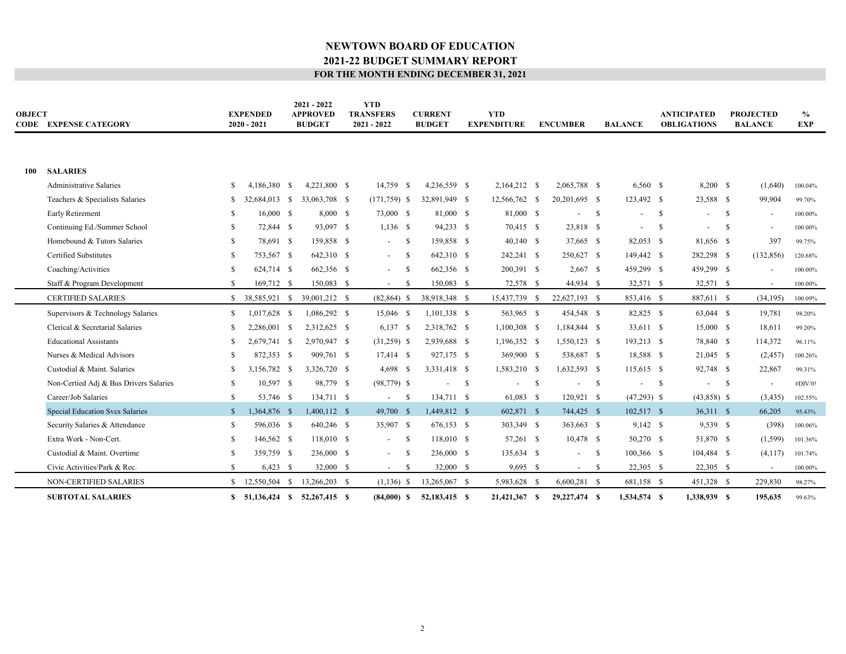| <b>OBJECT</b> | <b>CODE EXPENSE CATEGORY</b>           |              | <b>EXPENDED</b><br>$2020 - 2021$ | $2021 - 2022$<br><b>APPROVED</b><br><b>BUDGET</b> | <b>YTD</b><br><b>TRANSFERS</b><br>$2021 - 2022$ |      | <b>CURRENT</b><br><b>BUDGET</b> |      | <b>YTD</b><br><b>EXPENDITURE</b> | <b>ENCUMBER</b>                |              | <b>BALANCE</b>           |              | <b>ANTICIPATED</b><br><b>OBLIGATIONS</b> |              | <b>PROJECTED</b><br><b>BALANCE</b> | $\%$<br><b>EXP</b> |
|---------------|----------------------------------------|--------------|----------------------------------|---------------------------------------------------|-------------------------------------------------|------|---------------------------------|------|----------------------------------|--------------------------------|--------------|--------------------------|--------------|------------------------------------------|--------------|------------------------------------|--------------------|
| 100           | <b>SALARIES</b>                        |              |                                  |                                                   |                                                 |      |                                 |      |                                  |                                |              |                          |              |                                          |              |                                    |                    |
|               | <b>Administrative Salaries</b>         | S            | 4,186,380 \$                     | 4,221,800 \$                                      | 14,759 \$                                       |      | 4,236,559 \$                    |      | 2,164,212 \$                     | 2,065,788 \$                   |              | 6,560 \$                 |              | 8,200 \$                                 |              | (1,640)                            | 100.04%            |
|               | Teachers & Specialists Salaries        | \$           | 32,684,013 \$                    | 33,063,708 \$                                     | $(171, 759)$ \$                                 |      | 32,891,949 \$                   |      | 12,566,762 \$                    | 20,201,695 \$                  |              | 123,492 \$               |              | 23,588 \$                                |              | 99,904                             | 99.70%             |
|               | Early Retirement                       | \$.          | 16,000 \$                        | 8,000 \$                                          | 73,000 \$                                       |      | 81,000 \$                       |      | 81,000 \$                        | ۰                              | $\mathbf{s}$ |                          | - S          |                                          | - S          | $\overline{\phantom{a}}$           | 100.00%            |
|               | Continuing Ed./Summer School           | \$.          | 72,844 \$                        | 93,097 \$                                         | $1,136$ \$                                      |      | 94,233 \$                       |      | 70,415 \$                        | 23,818 \$                      |              | $\overline{\phantom{a}}$ | -S           |                                          | -S           | $\overline{\phantom{a}}$           | 100.00%            |
|               | Homebound & Tutors Salaries            | \$.          | 78,691 \$                        | 159,858 \$                                        | $\sim$                                          | - \$ | 159,858 \$                      |      | $40,140$ \$                      | 37,665 \$                      |              | 82,053 \$                |              | 81,656 \$                                |              | 397                                | 99.75%             |
|               | Certified Substitutes                  | \$.          | 753,567 \$                       | 642,310 \$                                        | $\sim$                                          | - \$ | 642,310 \$                      |      | 242,241 \$                       | 250,627 \$                     |              | 149,442 \$               |              | 282,298 \$                               |              | (132, 856)                         | 120.68%            |
|               | Coaching/Activities                    | \$.          | 624,714 \$                       | 662,356 \$                                        | $\sim$                                          | - \$ | 662,356 \$                      |      | 200,391 \$                       | $2,667$ \$                     |              | 459,299 \$               |              | 459,299 \$                               |              | $\overline{\phantom{a}}$           | 100.00%            |
|               | Staff & Program Development            | \$.          | 169,712 \$                       | 150,083 \$                                        | $\overline{\phantom{a}}$                        | -\$  | 150,083 \$                      |      | 72,578 \$                        | 44,934 \$                      |              | 32,571 \$                |              | 32,571 \$                                |              | $\sim$                             | 100.00%            |
|               | <b>CERTIFIED SALARIES</b>              |              | $$38.585.921$ \$                 | 39,001,212 \$                                     | $(82, 864)$ \$                                  |      | 38,918,348 \$                   |      | 15,437,739 \$                    | 22,627,193 \$                  |              | 853,416 \$               |              | 887,611 \$                               |              | (34, 195)                          | 100.09%            |
|               | Supervisors & Technology Salaries      | \$           | 1,017,628 \$                     | 1,086,292 \$                                      | 15,046 \$                                       |      | $1,101,338$ \$                  |      | 563,965 \$                       | 454,548 \$                     |              | 82,825 \$                |              | 63,044 \$                                |              | 19,781                             | 98.20%             |
|               | Clerical & Secretarial Salaries        | \$.          | 2.286,001 \$                     | 2,312,625 \$                                      | $6,137$ \$                                      |      | 2,318,762 \$                    |      | $1,100,308$ \$                   | 1,184,844 \$                   |              | 33,611 \$                |              | 15,000 \$                                |              | 18,611                             | 99.20%             |
|               | <b>Educational Assistants</b>          | \$.          | 2,679,741 \$                     | 2,970,947 \$                                      | $(31,259)$ \$                                   |      | 2,939,688 \$                    |      | 1,196,352 \$                     | $1,550,123$ \$                 |              | 193,213 \$               |              | 78,840 \$                                |              | 114,372                            | 96.11%             |
|               | Nurses & Medical Advisors              | \$.          | 872,353 \$                       | 909,761 \$                                        | 17,414 \$                                       |      | 927,175 \$                      |      | 369,900 \$                       | 538,687 \$                     |              | 18,588 \$                |              | $21,045$ \$                              |              | (2,457)                            | 100.26%            |
|               | Custodial & Maint. Salaries            | \$.          | 3,156,782 \$                     | 3,326,720 \$                                      | $4,698$ \$                                      |      | 3,331,418 \$                    |      | 1,583,210 \$                     | 1,632,593 \$                   |              | 115,615 \$               |              | 92,748 \$                                |              | 22,867                             | 99.31%             |
|               | Non-Certied Adj & Bus Drivers Salaries | \$           | 10,597 \$                        | 98,779 \$                                         | $(98, 779)$ \$                                  |      |                                 | - \$ |                                  | \$<br>$\overline{\phantom{a}}$ | - \$         |                          | $\mathbf{s}$ |                                          | $\mathbf{s}$ | $\overline{\phantom{a}}$           | #DIV/0!            |
|               | Career/Job Salaries                    | \$           | 53,746 \$                        | 134,711 \$                                        | $\overline{\phantom{a}}$                        | -S   | 134,711 \$                      |      | 61,083 \$                        | 120,921 \$                     |              | $(47,293)$ \$            |              | $(43,858)$ \$                            |              | (3, 435)                           | 102.55%            |
|               | <b>Special Education Svcs Salaries</b> | $\mathbb{S}$ | 1,364,876 \$                     | 1,400,112 \$                                      | 49,700 \$                                       |      | 1,449,812 \$                    |      | 602,871 \$                       | 744,425 \$                     |              | 102,517 \$               |              | 36,311 \$                                |              | 66,205                             | 95.43%             |
|               | Security Salaries & Attendance         | \$           | 596,036 \$                       | 640,246 \$                                        | 35,907 \$                                       |      | 676,153 \$                      |      | 303,349 \$                       | 363,663 \$                     |              | $9,142$ \$               |              | 9,539 \$                                 |              | (398)                              | 100.06%            |
|               | Extra Work - Non-Cert.                 | \$.          | 146,562 \$                       | 118,010 \$                                        | $\sim$                                          | - \$ | 118,010 \$                      |      | 57,261 \$                        | 10,478 \$                      |              | 50,270 \$                |              | 51,870 \$                                |              | (1, 599)                           | 101.36%            |
|               | Custodial & Maint. Overtime            | \$.          | 359,759 \$                       | 236,000 \$                                        | $\sim$                                          | -S   | 236,000 \$                      |      | 135,634 \$                       | $\overline{\phantom{a}}$       | $\mathbf{s}$ | 100,366 \$               |              | 104,484 \$                               |              | (4, 117)                           | 101.74%            |
|               | Civic Activities/Park & Rec.           | \$           | $6,423$ \$                       | 32,000 \$                                         | $\sim$                                          | -S   | 32,000 \$                       |      | $9,695$ \$                       | $-$ \$                         |              | 22,305 \$                |              | $22,305$ \$                              |              | $\sim$                             | 100.00%            |
|               | NON-CERTIFIED SALARIES                 | S.           | 12,550,504 \$                    | 13,266,203 \$                                     | $(1,136)$ \$                                    |      | 13,265,067 \$                   |      | 5,983,628 \$                     | $6,600,281$ \$                 |              | 681,158 \$               |              | 451,328 \$                               |              | 229,830                            | 98.27%             |
|               | <b>SUBTOTAL SALARIES</b>               |              | $$51,136,424$ \$                 | 52,267,415 \$                                     | $(84,000)$ \$                                   |      | 52,183,415 \$                   |      | 21,421,367 \$                    | 29,227,474 \$                  |              | 1,534,574 \$             |              | 1,338,939 \$                             |              | 195,635                            | 99.63%             |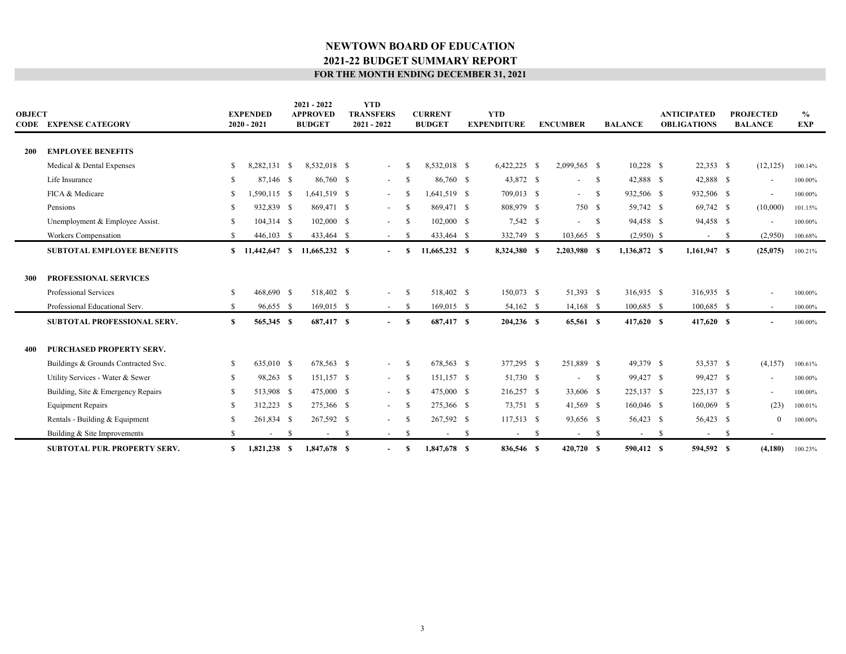| OBJECT | <b>CODE EXPENSE CATEGORY</b>        |     | <b>EXPENDED</b><br>$2020 - 2021$ |    | $2021 - 2022$<br><b>APPROVED</b><br><b>BUDGET</b> |    | <b>YTD</b><br><b>TRANSFERS</b><br>$2021 - 2022$ |      | <b>CURRENT</b><br><b>BUDGET</b> |      | <b>YTD</b><br><b>EXPENDITURE</b> |    | <b>ENCUMBER</b>          |      | <b>BALANCE</b> |              | <b>ANTICIPATED</b><br><b>OBLIGATIONS</b> |     | <b>PROJECTED</b><br><b>BALANCE</b> | $\frac{0}{0}$<br><b>EXP</b> |
|--------|-------------------------------------|-----|----------------------------------|----|---------------------------------------------------|----|-------------------------------------------------|------|---------------------------------|------|----------------------------------|----|--------------------------|------|----------------|--------------|------------------------------------------|-----|------------------------------------|-----------------------------|
| 200    | <b>EMPLOYEE BENEFITS</b>            |     |                                  |    |                                                   |    |                                                 |      |                                 |      |                                  |    |                          |      |                |              |                                          |     |                                    |                             |
|        | Medical & Dental Expenses           | \$  | 8,282,131 \$                     |    | 8,532,018 \$                                      |    | $\overline{\phantom{a}}$                        |      | 8,532,018 \$                    |      | $6,422,225$ \$                   |    | 2,099,565 \$             |      | $10,228$ \$    |              | $22,353$ \$                              |     | (12, 125)                          | 100.14%                     |
|        | Life Insurance                      | \$  | 87,146 \$                        |    | 86,760 \$                                         |    | $\sim$                                          | -S   | 86,760 \$                       |      | 43,872 \$                        |    | $\overline{\phantom{a}}$ | - S  | 42,888 \$      |              | 42,888 \$                                |     | $\overline{\phantom{a}}$           | 100.00%                     |
|        | FICA & Medicare                     | \$. | 1,590,115 \$                     |    | 1,641,519 \$                                      |    |                                                 |      | 1,641,519 \$                    |      | 709,013 \$                       |    | $\sim$                   | - S  | 932,506 \$     |              | 932,506 \$                               |     | $\overline{\phantom{a}}$           | 100.00%                     |
|        | Pensions                            | \$  | 932,839 \$                       |    | 869,471 \$                                        |    | $\sim$                                          | -S   | 869,471 \$                      |      | 808,979 \$                       |    | 750 \$                   |      | 59,742 \$      |              | 69,742 \$                                |     | (10,000)                           | 101.15%                     |
|        | Unemployment & Employee Assist.     | \$  | 104,314 \$                       |    | $102,000$ \$                                      |    |                                                 | -S   | 102,000 \$                      |      | 7,542 \$                         |    | $-$ \$                   |      | 94,458 \$      |              | 94,458 \$                                |     | $\blacksquare$                     | 100.00%                     |
|        | Workers Compensation                | \$. | 446,103 \$                       |    | 433,464 \$                                        |    | $\sim$                                          | -S   | 433,464 \$                      |      | 332,749 \$                       |    | 103,665 \$               |      | $(2,950)$ \$   |              | $\sim$                                   | -S  | (2,950)                            | 100.68%                     |
|        | SUBTOTAL EMPLOYEE BENEFITS          |     | $$11,442,647$ \$                 |    | 11,665,232 \$                                     |    | $\overline{\phantom{a}}$                        |      | 11,665,232 \$                   |      | 8,324,380 \$                     |    | 2,203,980 \$             |      | 1,136,872 \$   |              | 1,161,947 \$                             |     | (25,075)                           | 100.21%                     |
|        |                                     |     |                                  |    |                                                   |    |                                                 |      |                                 |      |                                  |    |                          |      |                |              |                                          |     |                                    |                             |
| 300    | <b>PROFESSIONAL SERVICES</b>        |     |                                  |    |                                                   |    |                                                 |      |                                 |      |                                  |    |                          |      |                |              |                                          |     |                                    |                             |
|        | Professional Services               | \$. | 468,690 \$                       |    | 518,402 \$                                        |    | $\sim$                                          | -S   | 518,402 \$                      |      | 150,073 \$                       |    | 51,393 \$                |      | 316,935 \$     |              | 316,935 \$                               |     | $\overline{\phantom{a}}$           | 100.00%                     |
|        | Professional Educational Serv.      | \$  | 96,655 \$                        |    | 169,015 \$                                        |    | $\sim$ 100 $\mu$                                | - \$ | 169,015 \$                      |      | 54,162 \$                        |    | 14,168 \$                |      | 100,685 \$     |              | 100,685 \$                               |     | $\sim$                             | 100.00%                     |
|        | SUBTOTAL PROFESSIONAL SERV.         | S   | 565,345 \$                       |    | 687,417 \$                                        |    | $\overline{\phantom{a}}$                        | S    | 687,417 \$                      |      | 204,236 \$                       |    | 65,561 S                 |      | 417,620 \$     |              | 417,620 \$                               |     | $\overline{\phantom{0}}$           | 100.00%                     |
|        |                                     |     |                                  |    |                                                   |    |                                                 |      |                                 |      |                                  |    |                          |      |                |              |                                          |     |                                    |                             |
| 400    | PURCHASED PROPERTY SERV.            |     |                                  |    |                                                   |    |                                                 |      |                                 |      |                                  |    |                          |      |                |              |                                          |     |                                    |                             |
|        | Buildings & Grounds Contracted Svc. | \$. | 635,010 \$                       |    | 678,563 \$                                        |    | $\sim$                                          | - \$ | 678,563 \$                      |      | 377,295 \$                       |    | 251,889 \$               |      | 49,379 \$      |              | 53,537 \$                                |     | (4,157)                            | 100.61%                     |
|        | Utility Services - Water & Sewer    | \$  | 98,263 \$                        |    | 151,157 \$                                        |    | $\sim 100$                                      | - \$ | 151,157 \$                      |      | 51,730 \$                        |    | $\overline{\phantom{a}}$ | - S  | 99,427 \$      |              | 99,427 \$                                |     | $\overline{\phantom{a}}$           | 100.00%                     |
|        | Building, Site & Emergency Repairs  | \$. | 513,908 \$                       |    | 475,000 \$                                        |    | $\sim$                                          | -S   | 475,000 \$                      |      | 216,257 \$                       |    | 33,606 \$                |      | 225,137 \$     |              | 225,137 \$                               |     | $\overline{\phantom{a}}$           | 100.00%                     |
|        | <b>Equipment Repairs</b>            | \$. | 312,223 \$                       |    | 275,366 \$                                        |    | $\sim$                                          | -S   | 275,366 \$                      |      | 73,751 \$                        |    | 41,569 \$                |      | 160,046 \$     |              | 160,069 \$                               |     | (23)                               | 100.01%                     |
|        | Rentals - Building & Equipment      | \$  | 261,834 \$                       |    | 267,592 \$                                        |    |                                                 | -S   | 267,592 \$                      |      | 117,513 \$                       |    | 93,656 \$                |      | 56,423 \$      |              | 56,423 \$                                |     | $\Omega$                           | 100.00%                     |
|        | Building & Site Improvements        | \$  |                                  | -S | $\overline{\phantom{a}}$                          | -S | $\sim$                                          | -S   | $\overline{\phantom{a}}$        | - \$ | $\sim 100$                       | -S | $\sim$                   | - \$ | $\sim$         | $\mathbf{s}$ | $\sim$                                   | -\$ | $\overline{\phantom{a}}$           |                             |
|        | <b>SUBTOTAL PUR. PROPERTY SERV.</b> | S   | 1,821,238 \$                     |    | 1,847,678 \$                                      |    | $\overline{\phantom{a}}$                        | -8   | 1,847,678 \$                    |      | 836,546 \$                       |    | 420,720 \$               |      | 590,412 \$     |              | 594,592 \$                               |     | (4,180)                            | 100.23%                     |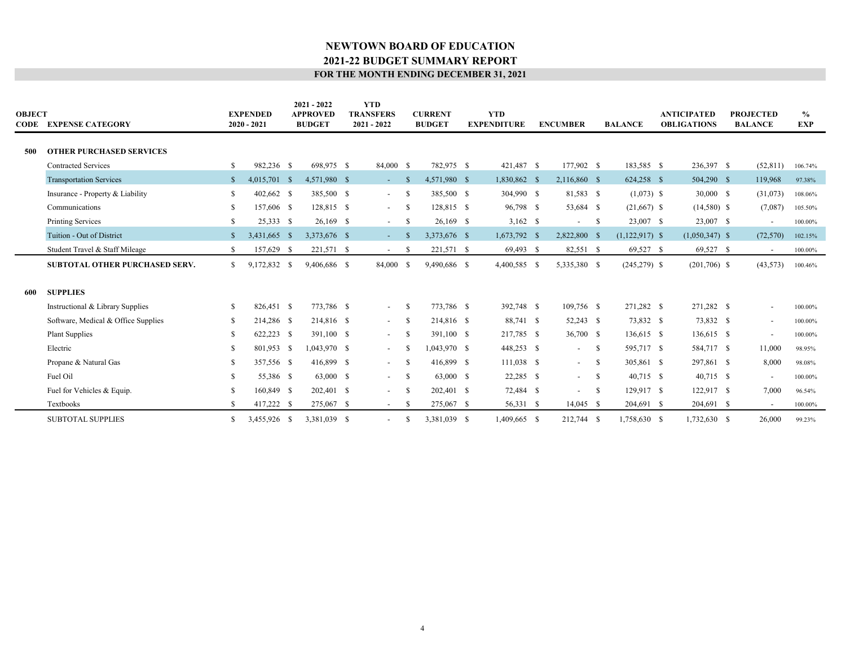| <b>OBJECT</b> | <b>CODE EXPENSE CATEGORY</b>          |              | <b>EXPENDED</b><br>$2020 - 2021$ |      | $2021 - 2022$<br><b>APPROVED</b><br><b>BUDGET</b> | <b>YTD</b><br><b>TRANSFERS</b><br>2021 - 2022 |               | <b>CURRENT</b><br><b>BUDGET</b> | <b>YTD</b><br><b>EXPENDITURE</b> | <b>ENCUMBER</b>          |      | <b>BALANCE</b>   | <b>ANTICIPATED</b><br><b>OBLIGATIONS</b> | <b>PROJECTED</b><br><b>BALANCE</b> | $\%$<br><b>EXP</b> |  |
|---------------|---------------------------------------|--------------|----------------------------------|------|---------------------------------------------------|-----------------------------------------------|---------------|---------------------------------|----------------------------------|--------------------------|------|------------------|------------------------------------------|------------------------------------|--------------------|--|
|               |                                       |              |                                  |      |                                                   |                                               |               |                                 |                                  |                          |      |                  |                                          |                                    |                    |  |
| 500           | <b>OTHER PURCHASED SERVICES</b>       |              |                                  |      |                                                   |                                               |               |                                 |                                  |                          |      |                  |                                          |                                    |                    |  |
|               | <b>Contracted Services</b>            |              | 982,236 \$                       |      | 698,975 \$                                        | 84,000 \$                                     |               | 782,975 \$                      | 421,487 \$                       | 177,902 \$               |      | 183,585 \$       | 236,397 \$                               | (52, 811)                          | 106.74%            |  |
|               | <b>Transportation Services</b>        | <sup>S</sup> | 4,015,701 \$                     |      | 4,571,980 \$                                      | $\sim$                                        | <sup>\$</sup> | 4,571,980 \$                    | 1,830,862 \$                     | 2,116,860 \$             |      | 624,258 \$       | 504,290 \$                               | 119,968                            | 97.38%             |  |
|               | Insurance - Property & Liability      | S.           | 402,662 \$                       |      | 385,500 \$                                        | $\sim$                                        | -S            | 385,500 \$                      | 304,990 \$                       | 81,583 \$                |      | $(1,073)$ \$     | 30,000 \$                                | (31,073)                           | 108.06%            |  |
|               | Communications                        |              | 157,606 \$                       |      | 128,815 \$                                        | $\sim$                                        | -S            | 128,815 \$                      | 96,798 \$                        | 53,684 \$                |      | $(21,667)$ \$    | $(14,580)$ \$                            | (7,087)                            | 105.50%            |  |
|               | <b>Printing Services</b>              | S.           | 25,333 \$                        |      | $26,169$ \$                                       | $\sim$                                        | -S            | $26,169$ \$                     | $3,162$ \$                       | $\overline{\phantom{a}}$ | - \$ | 23,007 \$        | 23,007 \$                                |                                    | 100.00%            |  |
|               | Tuition - Out of District             |              | 3,431,665 \$                     |      | 3,373,676 \$                                      | $\sim$ $-$                                    | -8            | 3,373,676 \$                    | 1,673,792 \$                     | 2,822,800 \$             |      | $(1,122,917)$ \$ | $(1,050,347)$ \$                         | (72, 570)                          | 102.15%            |  |
|               | Student Travel & Staff Mileage        | \$.          | 157,629                          | -S   | 221,571 \$                                        | $\sim$                                        | -S            | 221,571 \$                      | 69,493 \$                        | 82,551 \$                |      | 69,527 \$        | 69,527 \$                                | $\sim$                             | 100.00%            |  |
|               | <b>SUBTOTAL OTHER PURCHASED SERV.</b> | \$           | 9,172,832 \$                     |      | 9,406,686 \$                                      | 84,000 \$                                     |               | 9,490,686 \$                    | 4,400,585 \$                     | 5,335,380 \$             |      | $(245,279)$ \$   | $(201,706)$ \$                           | (43, 573)                          | 100.46%            |  |
|               |                                       |              |                                  |      |                                                   |                                               |               |                                 |                                  |                          |      |                  |                                          |                                    |                    |  |
| 600           | <b>SUPPLIES</b>                       |              |                                  |      |                                                   |                                               |               |                                 |                                  |                          |      |                  |                                          |                                    |                    |  |
|               | Instructional & Library Supplies      | S.           | 826,451 \$                       |      | 773,786 \$                                        | $\sim$                                        | -S            | 773,786 \$                      | 392,748 \$                       | 109,756 \$               |      | 271,282 \$       | 271,282 \$                               |                                    | 100.00%            |  |
|               | Software, Medical & Office Supplies   |              | 214,286                          | - \$ | 214,816 \$                                        | $\sim$                                        | - \$          | 214,816 \$                      | 88,741 \$                        | 52,243 \$                |      | 73,832 \$        | 73,832 \$                                | $\overline{\phantom{a}}$           | 100.00%            |  |
|               | <b>Plant Supplies</b>                 |              | 622,223 \$                       |      | 391,100 \$                                        | $\sim$                                        | -S            | 391,100 \$                      | 217,785 \$                       | 36,700 \$                |      | 136,615 \$       | 136,615 \$                               | $\overline{\phantom{a}}$           | 100.00%            |  |
|               | Electric                              |              | 801,953 \$                       |      | 1,043,970 \$                                      | $\sim$                                        |               | 1,043,970 \$                    | 448,253 \$                       | $\sim$                   | - \$ | 595,717 \$       | 584,717 \$                               | 11,000                             | 98.95%             |  |
|               | Propane & Natural Gas                 |              | 357,556 \$                       |      | 416,899 \$                                        | $\sim$                                        | -S            | 416,899 \$                      | 111,038 \$                       | $\sim$ 100 $\mu$         | -S   | 305,861 \$       | 297,861 \$                               | 8,000                              | 98.08%             |  |
|               | Fuel Oil                              |              | 55,386 \$                        |      | 63,000 \$                                         | $\sim$                                        | - \$          | 63,000 \$                       | $22,285$ \$                      | $\sim$                   | - S  | 40,715 \$        | 40,715 \$                                |                                    | 100.00%            |  |
|               | Fuel for Vehicles & Equip.            |              | 160,849                          | - \$ | 202,401 \$                                        | $\overline{\phantom{0}}$                      | -S            | 202,401 \$                      | 72,484 \$                        | $\sim$                   | -S   | 129,917 \$       | 122,917 \$                               | 7,000                              | 96.54%             |  |
|               | Textbooks                             |              | 417,222 \$                       |      | 275,067 \$                                        | $\sim$                                        | -S            | 275,067 \$                      | 56,331 \$                        | $14,045$ \$              |      | 204,691 \$       | 204,691 \$                               |                                    | 100.00%            |  |
|               | <b>SUBTOTAL SUPPLIES</b>              | S.           | 3,455,926 \$                     |      | 3,381,039 \$                                      |                                               | -S            | 3,381,039 \$                    | 1,409,665 \$                     | 212,744 \$               |      | 1,758,630 \$     | 1,732,630 \$                             | 26,000                             | 99.23%             |  |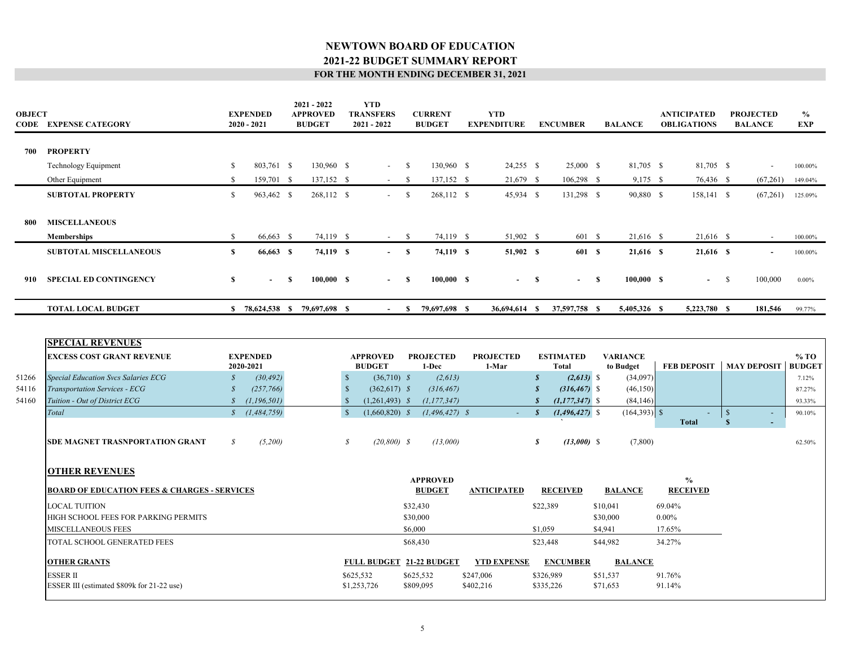| <b>OBJECT</b> | <b>CODE EXPENSE CATEGORY</b>                                                     |                   | <b>EXPENDED</b><br>$2020 - 2021$ |          | 2021 - 2022<br><b>APPROVED</b><br><b>BUDGET</b> |               | <b>YTD</b><br><b>TRANSFERS</b><br>2021 - 2022 |              | <b>CURRENT</b><br><b>BUDGET</b>  | <b>YTD</b><br><b>EXPENDITURE</b> |                  | <b>ENCUMBER</b>                  |              | <b>BALANCE</b>               |          | <b>ANTICIPATED</b><br><b>OBLIGATIONS</b> |                               | <b>PROJECTED</b><br><b>BALANCE</b> | $\%$<br><b>EXP</b>      |
|---------------|----------------------------------------------------------------------------------|-------------------|----------------------------------|----------|-------------------------------------------------|---------------|-----------------------------------------------|--------------|----------------------------------|----------------------------------|------------------|----------------------------------|--------------|------------------------------|----------|------------------------------------------|-------------------------------|------------------------------------|-------------------------|
| 700           | <b>PROPERTY</b>                                                                  |                   |                                  |          |                                                 |               |                                               |              |                                  |                                  |                  |                                  |              |                              |          |                                          |                               |                                    |                         |
|               | Technology Equipment                                                             | \$                | 803,761 \$                       |          | 130,960 \$                                      |               | $- S$                                         |              | 130,960 \$                       | $24,255$ \$                      |                  | 25,000 \$                        |              | 81,705 \$                    |          | 81,705 \$                                |                               | $\overline{\phantom{a}}$           | 100.00%                 |
|               | Other Equipment                                                                  | $\mathbf{s}$      | 159,701 \$                       |          | 137,152 \$                                      |               | $-$ \$                                        |              | 137,152 \$                       | 21,679 \$                        |                  | $106,298$ \$                     |              | 9,175 \$                     |          | 76,436 \$                                |                               | (67,261)                           | 149.04%                 |
|               | <b>SUBTOTAL PROPERTY</b>                                                         | $\mathbb{S}$      | 963,462 \$                       |          | 268,112 \$                                      |               | $-$ \$                                        |              | 268,112 \$                       | 45,934 \$                        |                  | 131,298 \$                       |              | 90,880 \$                    |          | 158,141 \$                               |                               | (67,261)                           | 125.09%                 |
| 800           | <b>MISCELLANEOUS</b>                                                             |                   |                                  |          |                                                 |               |                                               |              |                                  |                                  |                  |                                  |              |                              |          |                                          |                               |                                    |                         |
|               | <b>Memberships</b>                                                               | <sup>\$</sup>     | 66,663 \$                        |          | 74,119 \$                                       |               | $-$ \$                                        |              | 74,119 \$                        | 51,902 \$                        |                  | 601 \$                           |              | 21,616 \$                    |          | 21,616 \$                                |                               | $\sim$                             | 100.00%                 |
|               | <b>SUBTOTAL MISCELLANEOUS</b>                                                    | $\mathbf{s}$      | 66,663 \$                        |          | 74,119 \$                                       |               | $- S$                                         |              | 74,119 \$                        | 51,902 \$                        |                  | 601 \$                           |              | 21,616 \$                    |          | 21,616 \$                                |                               | $\sim$                             | 100.00%                 |
| 910           | <b>SPECIAL ED CONTINGENCY</b>                                                    | $\mathbf{s}$      | $\sim$                           | <b>S</b> | 100,000 S                                       |               | $\sim$                                        | $\mathbf{s}$ | 100,000 S                        | $\sim 100$                       | $\mathbf{s}$     | $\sim$                           | $\mathbf{s}$ | 100,000 S                    |          | $\sim$                                   | $\mathbf{s}$                  | 100,000                            | $0.00\%$                |
|               | <b>TOTAL LOCAL BUDGET</b>                                                        |                   |                                  |          | \$ 78,624,538 \$ 79,697,698 \$                  |               |                                               |              | $-$ \$ 79,697,698 \$             | 36,694,614 \$                    |                  | 37,597,758 \$                    |              | 5,405,326 \$                 |          | 5,223,780 \$                             |                               | 181,546                            | 99.77%                  |
|               | <b>SPECIAL REVENUES</b><br><b>EXCESS COST GRANT REVENUE</b>                      |                   | <b>EXPENDED</b><br>2020-2021     |          |                                                 |               | <b>APPROVED</b><br><b>BUDGET</b>              |              | <b>PROJECTED</b><br>1-Dec        | <b>PROJECTED</b><br>1-Mar        |                  | <b>ESTIMATED</b><br><b>Total</b> |              | <b>VARIANCE</b><br>to Budget |          | <b>FEB DEPOSIT</b>                       |                               | <b>MAY DEPOSIT</b>                 | $%$ TO<br><b>BUDGET</b> |
| 51266         | Special Education Svcs Salaries ECG                                              | $\mathcal{S}_{0}$ | (30, 492)                        |          |                                                 | $\mathcal{S}$ | $(36,710)$ \$                                 |              | (2, 613)                         |                                  | $\boldsymbol{s}$ | $(2,613)$ \$                     |              | (34,097)                     |          |                                          |                               |                                    | 7.12%                   |
| 54116         | Transportation Services - ECG                                                    | $\mathcal{S}$     | (257, 766)                       |          |                                                 | $\mathcal{S}$ | $(362,617)$ \$                                |              | (316, 467)                       |                                  | $\mathcal{S}$    | $(316, 467)$ \$                  |              | (46, 150)                    |          |                                          |                               |                                    | 87.27%                  |
| 54160         | Tuition - Out of District ECG                                                    | $\mathcal{S}$     | (1, 196, 501)                    |          |                                                 | $\mathcal{S}$ | $(1,261,493)$ \$                              |              | (1, 177, 347)                    |                                  | $\mathbf{s}$     | $(1, 177, 347)$ \$               |              | (84, 146)                    |          |                                          |                               |                                    | 93.33%                  |
|               | Total                                                                            | $\mathcal{S}$     | (1, 484, 759)                    |          |                                                 | $\mathbf{s}$  | $(1,660,820)$ \$                              |              | $(1, 496, 427)$ \$               |                                  | $\mathbf{s}$     | $(1,496,427)$ \$                 |              | $(164,393)$ \$               |          | <b>Total</b>                             | $\mathcal{S}$<br>$\mathbf{s}$ |                                    | 90.10%                  |
|               | SDE MAGNET TRASNPORTATION GRANT                                                  | $\mathcal{S}$     | (5,200)                          |          |                                                 | S             | $(20,800)$ \$                                 |              | (13,000)                         |                                  | s                | $(13,000)$ \$                    |              | (7,800)                      |          |                                          |                               |                                    | 62.50%                  |
|               | <b>OTHER REVENUES</b><br><b>BOARD OF EDUCATION FEES &amp; CHARGES - SERVICES</b> |                   |                                  |          |                                                 |               |                                               |              | <b>APPROVED</b><br><b>BUDGET</b> | <b>ANTICIPATED</b>               |                  | <b>RECEIVED</b>                  |              | <b>BALANCE</b>               |          | $\frac{6}{9}$<br><b>RECEIVED</b>         |                               |                                    |                         |
|               | <b>LOCAL TUITION</b>                                                             |                   |                                  |          |                                                 |               |                                               |              | \$32,430                         |                                  |                  | \$22,389                         |              | \$10,041                     |          | 69.04%                                   |                               |                                    |                         |
|               | HIGH SCHOOL FEES FOR PARKING PERMITS                                             |                   |                                  |          |                                                 |               |                                               |              | \$30,000                         |                                  |                  |                                  |              | \$30,000                     | $0.00\%$ |                                          |                               |                                    |                         |
|               | <b>MISCELLANEOUS FEES</b>                                                        |                   |                                  |          |                                                 |               |                                               |              | \$6,000                          |                                  | \$1,059          |                                  |              | \$4,941                      |          | 17.65%                                   |                               |                                    |                         |
|               | TOTAL SCHOOL GENERATED FEES                                                      |                   |                                  |          |                                                 |               |                                               |              | \$68,430                         |                                  |                  | \$23,448                         |              | \$44,982                     |          | 34.27%                                   |                               |                                    |                         |
|               | <b>OTHER GRANTS</b>                                                              |                   |                                  |          |                                                 |               |                                               |              | FULL BUDGET 21-22 BUDGET         | <b>YTD EXPENSE</b>               |                  | <b>ENCUMBER</b>                  |              | <b>BALANCE</b>               |          |                                          |                               |                                    |                         |
|               | <b>ESSER II</b><br>ESSER III (estimated \$809k for 21-22 use)                    |                   |                                  |          |                                                 | \$625,532     | \$1,253,726                                   |              | \$625,532<br>\$809,095           | \$247,006<br>\$402,216           |                  | \$326,989<br>\$335,226           |              | \$51,537<br>\$71,653         |          | 91.76%<br>91.14%                         |                               |                                    |                         |